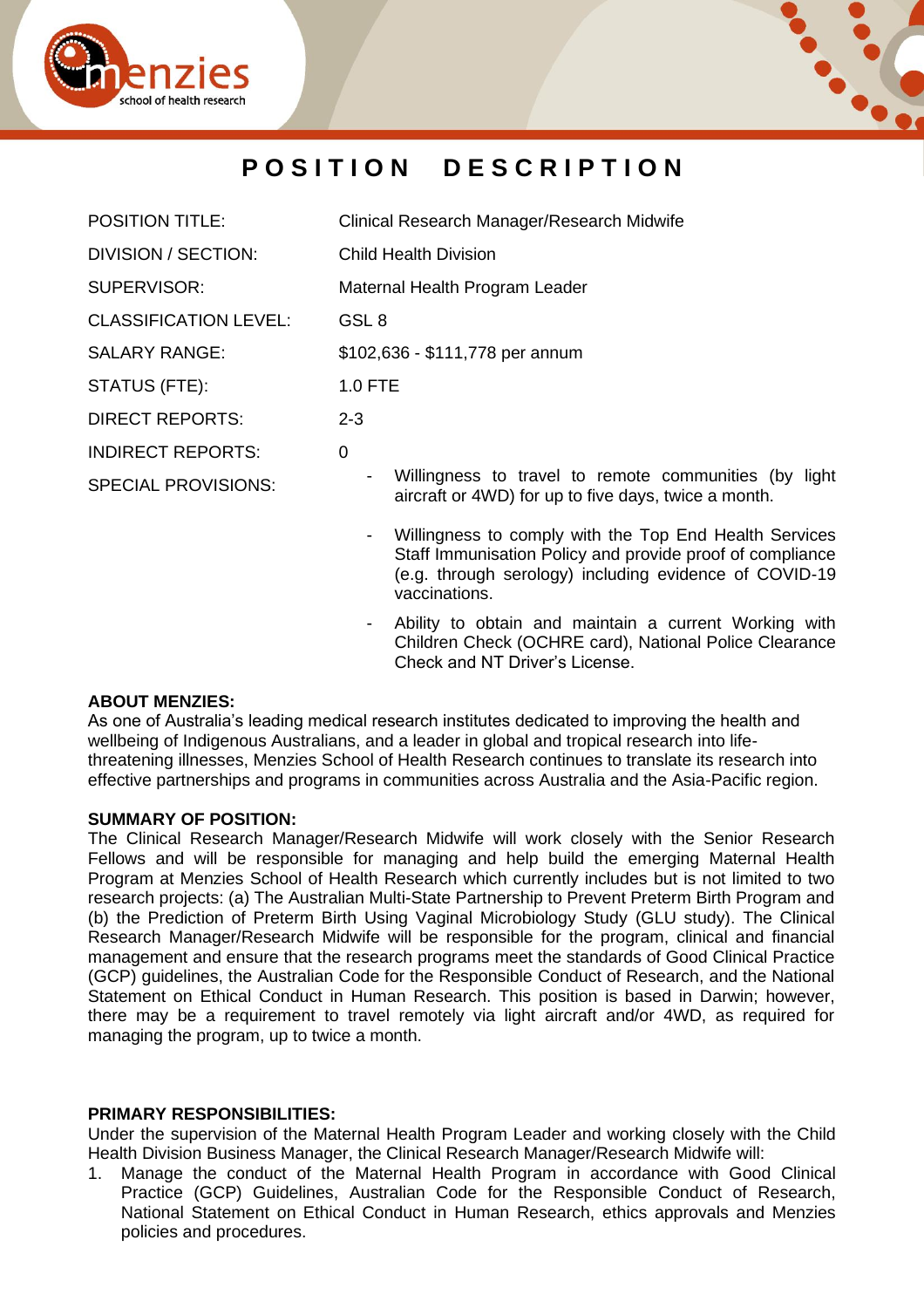



# **P O S I T I O N D E S C R I P T I O N**

| <b>POSITION TITLE:</b>       | Clinical Research Manager/Research Midwife                                                                    |  |
|------------------------------|---------------------------------------------------------------------------------------------------------------|--|
| DIVISION / SECTION:          | <b>Child Health Division</b>                                                                                  |  |
| SUPERVISOR:                  | Maternal Health Program Leader                                                                                |  |
| <b>CLASSIFICATION LEVEL:</b> | GSL 8                                                                                                         |  |
| <b>SALARY RANGE:</b>         | \$102,636 - \$111,778 per annum                                                                               |  |
| STATUS (FTE):                | 1.0 FTE                                                                                                       |  |
| <b>DIRECT REPORTS:</b>       | $2 - 3$                                                                                                       |  |
| <b>INDIRECT REPORTS:</b>     | 0                                                                                                             |  |
| <b>SPECIAL PROVISIONS:</b>   | Willingness to travel to remote communities (by light<br>aircraft or 4WD) for up to five days, twice a month. |  |

- Willingness to comply with the Top End Health Services Staff Immunisation Policy and provide proof of compliance (e.g. through serology) including evidence of COVID-19 vaccinations.
- Ability to obtain and maintain a current Working with Children Check (OCHRE card), National Police Clearance Check and NT Driver's License.

### **ABOUT MENZIES:**

As one of Australia's leading medical research institutes dedicated to improving the health and wellbeing of Indigenous Australians, and a leader in global and tropical research into lifethreatening illnesses, Menzies School of Health Research continues to translate its research into effective partnerships and programs in communities across Australia and the Asia-Pacific region.

### **SUMMARY OF POSITION:**

The Clinical Research Manager/Research Midwife will work closely with the Senior Research Fellows and will be responsible for managing and help build the emerging Maternal Health Program at Menzies School of Health Research which currently includes but is not limited to two research projects: (a) The Australian Multi-State Partnership to Prevent Preterm Birth Program and (b) the Prediction of Preterm Birth Using Vaginal Microbiology Study (GLU study). The Clinical Research Manager/Research Midwife will be responsible for the program, clinical and financial management and ensure that the research programs meet the standards of Good Clinical Practice (GCP) guidelines, the Australian Code for the Responsible Conduct of Research, and the National Statement on Ethical Conduct in Human Research. This position is based in Darwin; however, there may be a requirement to travel remotely via light aircraft and/or 4WD, as required for managing the program, up to twice a month.

### **PRIMARY RESPONSIBILITIES:**

Under the supervision of the Maternal Health Program Leader and working closely with the Child Health Division Business Manager, the Clinical Research Manager/Research Midwife will:

1. Manage the conduct of the Maternal Health Program in accordance with Good Clinical Practice (GCP) Guidelines, Australian Code for the Responsible Conduct of Research, National Statement on Ethical Conduct in Human Research, ethics approvals and Menzies policies and procedures.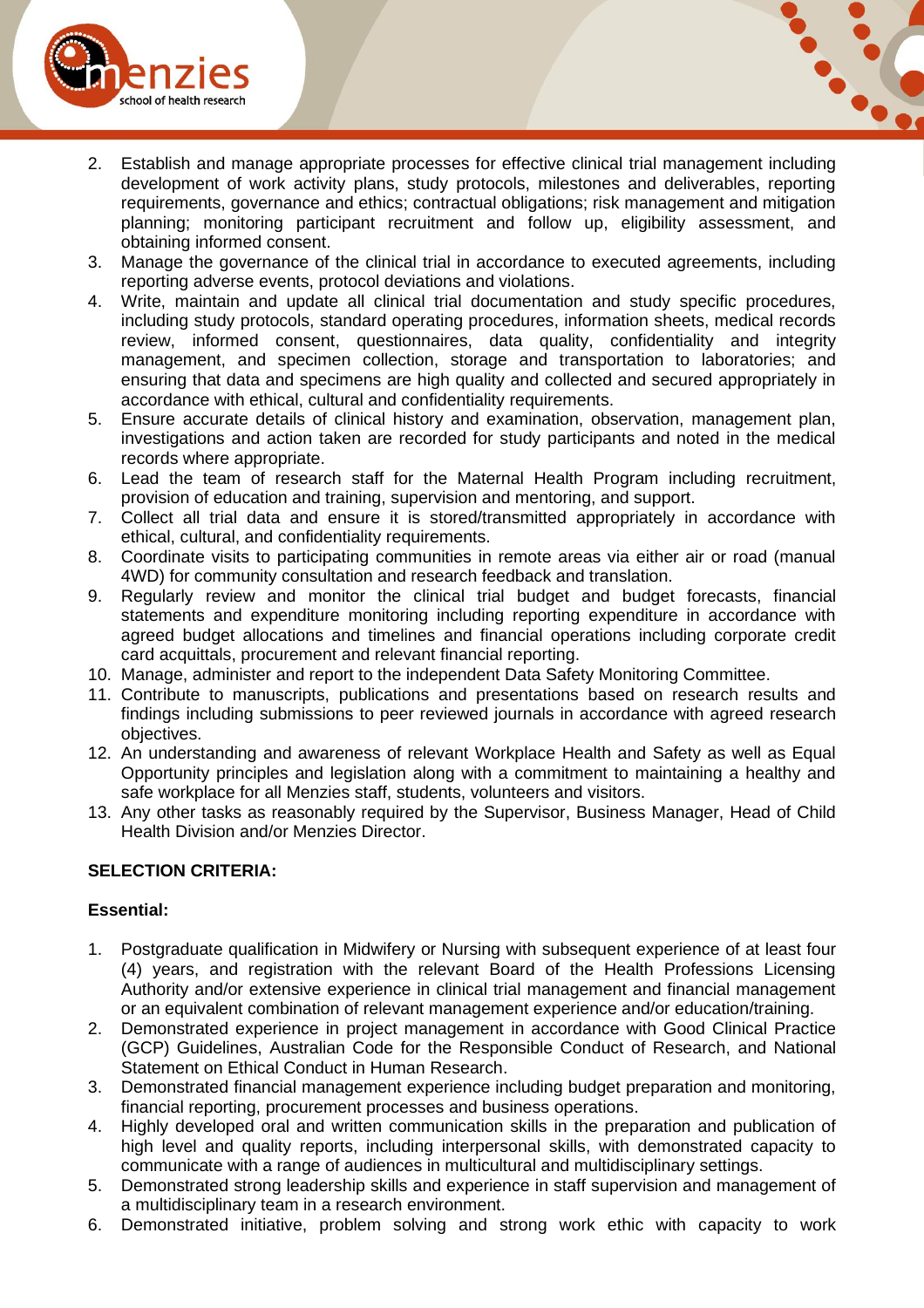



- 2. Establish and manage appropriate processes for effective clinical trial management including development of work activity plans, study protocols, milestones and deliverables, reporting requirements, governance and ethics; contractual obligations; risk management and mitigation planning; monitoring participant recruitment and follow up, eligibility assessment, and obtaining informed consent.
- 3. Manage the governance of the clinical trial in accordance to executed agreements, including reporting adverse events, protocol deviations and violations.
- 4. Write, maintain and update all clinical trial documentation and study specific procedures, including study protocols, standard operating procedures, information sheets, medical records review, informed consent, questionnaires, data quality, confidentiality and integrity management, and specimen collection, storage and transportation to laboratories; and ensuring that data and specimens are high quality and collected and secured appropriately in accordance with ethical, cultural and confidentiality requirements.
- 5. Ensure accurate details of clinical history and examination, observation, management plan, investigations and action taken are recorded for study participants and noted in the medical records where appropriate.
- 6. Lead the team of research staff for the Maternal Health Program including recruitment, provision of education and training, supervision and mentoring, and support.
- 7. Collect all trial data and ensure it is stored/transmitted appropriately in accordance with ethical, cultural, and confidentiality requirements.
- 8. Coordinate visits to participating communities in remote areas via either air or road (manual 4WD) for community consultation and research feedback and translation.
- 9. Regularly review and monitor the clinical trial budget and budget forecasts, financial statements and expenditure monitoring including reporting expenditure in accordance with agreed budget allocations and timelines and financial operations including corporate credit card acquittals, procurement and relevant financial reporting.
- 10. Manage, administer and report to the independent Data Safety Monitoring Committee.
- 11. Contribute to manuscripts, publications and presentations based on research results and findings including submissions to peer reviewed journals in accordance with agreed research objectives.
- 12. An understanding and awareness of relevant Workplace Health and Safety as well as Equal Opportunity principles and legislation along with a commitment to maintaining a healthy and safe workplace for all Menzies staff, students, volunteers and visitors.
- 13. Any other tasks as reasonably required by the Supervisor, Business Manager, Head of Child Health Division and/or Menzies Director.

## **SELECTION CRITERIA:**

## **Essential:**

- 1. Postgraduate qualification in Midwifery or Nursing with subsequent experience of at least four (4) years, and registration with the relevant Board of the Health Professions Licensing Authority and/or extensive experience in clinical trial management and financial management or an equivalent combination of relevant management experience and/or education/training.
- 2. Demonstrated experience in project management in accordance with Good Clinical Practice (GCP) Guidelines, Australian Code for the Responsible Conduct of Research, and National Statement on Ethical Conduct in Human Research.
- 3. Demonstrated financial management experience including budget preparation and monitoring, financial reporting, procurement processes and business operations.
- 4. Highly developed oral and written communication skills in the preparation and publication of high level and quality reports, including interpersonal skills, with demonstrated capacity to communicate with a range of audiences in multicultural and multidisciplinary settings.
- 5. Demonstrated strong leadership skills and experience in staff supervision and management of a multidisciplinary team in a research environment.
- 6. Demonstrated initiative, problem solving and strong work ethic with capacity to work